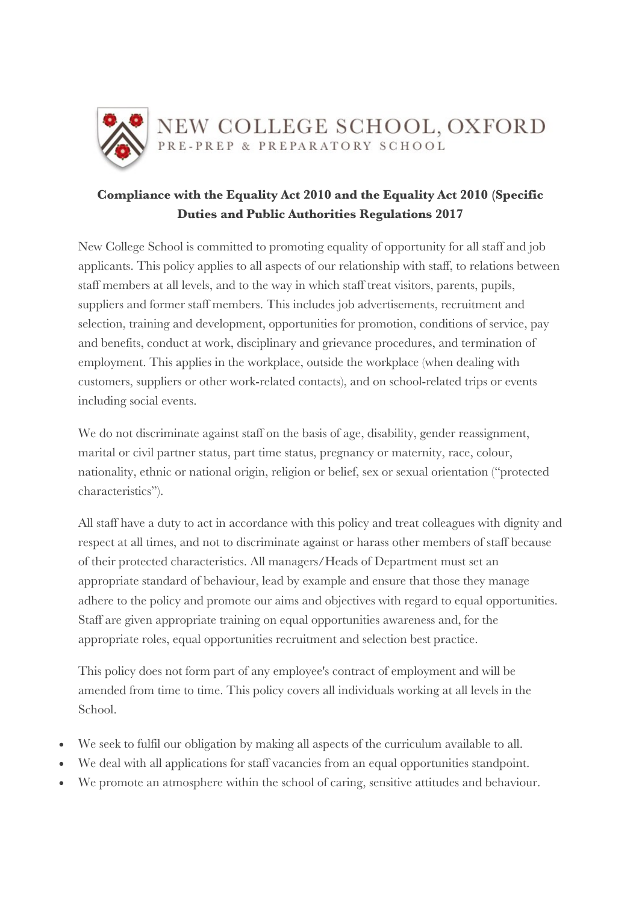

# **Compliance with the Equality Act 2010 and the Equality Act 2010 (Specific Duties and Public Authorities Regulations 2017**

New College School is committed to promoting equality of opportunity for all staff and job applicants. This policy applies to all aspects of our relationship with staff, to relations between staff members at all levels, and to the way in which staff treat visitors, parents, pupils, suppliers and former staff members. This includes job advertisements, recruitment and selection, training and development, opportunities for promotion, conditions of service, pay and benefits, conduct at work, disciplinary and grievance procedures, and termination of employment. This applies in the workplace, outside the workplace (when dealing with customers, suppliers or other work-related contacts), and on school-related trips or events including social events.

We do not discriminate against staff on the basis of age, disability, gender reassignment, marital or civil partner status, part time status, pregnancy or maternity, race, colour, nationality, ethnic or national origin, religion or belief, sex or sexual orientation ("protected characteristics").

All staff have a duty to act in accordance with this policy and treat colleagues with dignity and respect at all times, and not to discriminate against or harass other members of staff because of their protected characteristics. All managers/Heads of Department must set an appropriate standard of behaviour, lead by example and ensure that those they manage adhere to the policy and promote our aims and objectives with regard to equal opportunities. Staff are given appropriate training on equal opportunities awareness and, for the appropriate roles, equal opportunities recruitment and selection best practice.

This policy does not form part of any employee's contract of employment and will be amended from time to time. This policy covers all individuals working at all levels in the School.

- We seek to fulfil our obligation by making all aspects of the curriculum available to all.
- We deal with all applications for staff vacancies from an equal opportunities standpoint.
- We promote an atmosphere within the school of caring, sensitive attitudes and behaviour.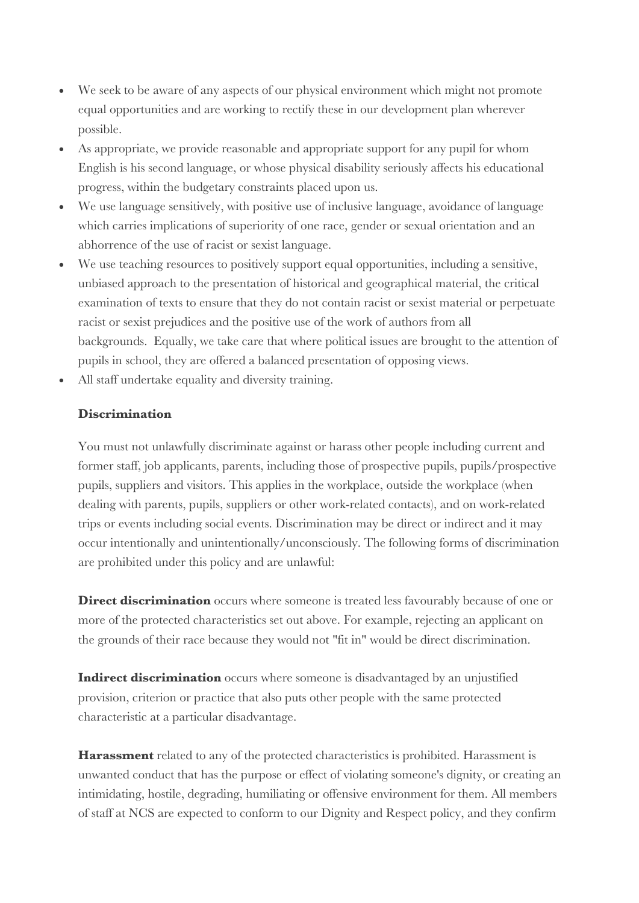- We seek to be aware of any aspects of our physical environment which might not promote equal opportunities and are working to rectify these in our development plan wherever possible.
- As appropriate, we provide reasonable and appropriate support for any pupil for whom English is his second language, or whose physical disability seriously affects his educational progress, within the budgetary constraints placed upon us.
- We use language sensitively, with positive use of inclusive language, avoidance of language which carries implications of superiority of one race, gender or sexual orientation and an abhorrence of the use of racist or sexist language.
- We use teaching resources to positively support equal opportunities, including a sensitive, unbiased approach to the presentation of historical and geographical material, the critical examination of texts to ensure that they do not contain racist or sexist material or perpetuate racist or sexist prejudices and the positive use of the work of authors from all backgrounds. Equally, we take care that where political issues are brought to the attention of pupils in school, they are offered a balanced presentation of opposing views.
- All staff undertake equality and diversity training.

## **Discrimination**

You must not unlawfully discriminate against or harass other people including current and former staff, job applicants, parents, including those of prospective pupils, pupils/prospective pupils, suppliers and visitors. This applies in the workplace, outside the workplace (when dealing with parents, pupils, suppliers or other work-related contacts), and on work-related trips or events including social events. Discrimination may be direct or indirect and it may occur intentionally and unintentionally/unconsciously. The following forms of discrimination are prohibited under this policy and are unlawful:

**Direct discrimination** occurs where someone is treated less favourably because of one or more of the protected characteristics set out above. For example, rejecting an applicant on the grounds of their race because they would not "fit in" would be direct discrimination.

**Indirect discrimination** occurs where someone is disadvantaged by an unjustified provision, criterion or practice that also puts other people with the same protected characteristic at a particular disadvantage.

**Harassment** related to any of the protected characteristics is prohibited. Harassment is unwanted conduct that has the purpose or effect of violating someone's dignity, or creating an intimidating, hostile, degrading, humiliating or offensive environment for them. All members of staff at NCS are expected to conform to our Dignity and Respect policy, and they confirm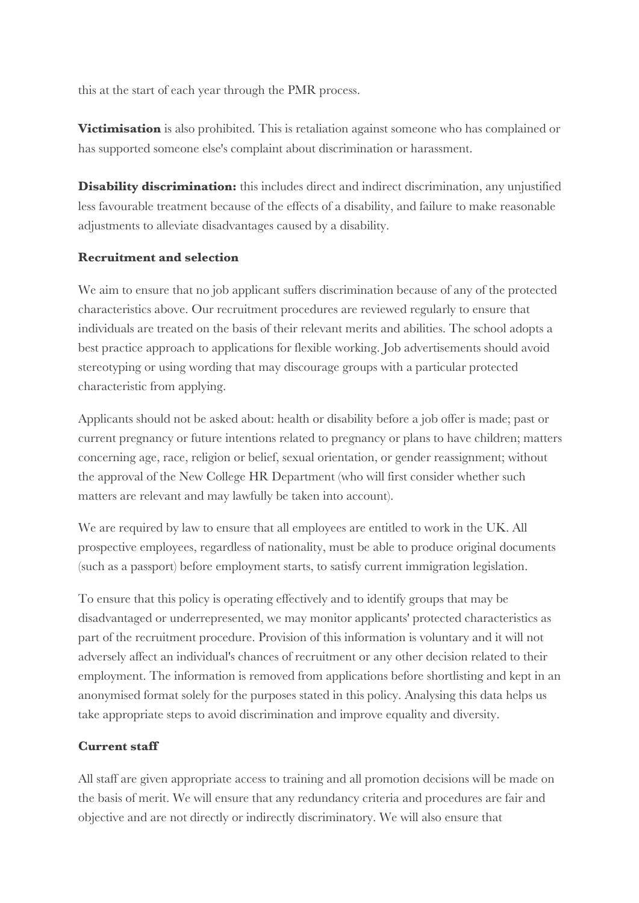this at the start of each year through the PMR process.

**Victimisation** is also prohibited. This is retaliation against someone who has complained or has supported someone else's complaint about discrimination or harassment.

**Disability discrimination:** this includes direct and indirect discrimination, any unjustified less favourable treatment because of the effects of a disability, and failure to make reasonable adjustments to alleviate disadvantages caused by a disability.

#### **Recruitment and selection**

We aim to ensure that no job applicant suffers discrimination because of any of the protected characteristics above. Our recruitment procedures are reviewed regularly to ensure that individuals are treated on the basis of their relevant merits and abilities. The school adopts a best practice approach to applications for flexible working. Job advertisements should avoid stereotyping or using wording that may discourage groups with a particular protected characteristic from applying.

Applicants should not be asked about: health or disability before a job offer is made; past or current pregnancy or future intentions related to pregnancy or plans to have children; matters concerning age, race, religion or belief, sexual orientation, or gender reassignment; without the approval of the New College HR Department (who will first consider whether such matters are relevant and may lawfully be taken into account).

We are required by law to ensure that all employees are entitled to work in the UK. All prospective employees, regardless of nationality, must be able to produce original documents (such as a passport) before employment starts, to satisfy current immigration legislation.

To ensure that this policy is operating effectively and to identify groups that may be disadvantaged or underrepresented, we may monitor applicants' protected characteristics as part of the recruitment procedure. Provision of this information is voluntary and it will not adversely affect an individual's chances of recruitment or any other decision related to their employment. The information is removed from applications before shortlisting and kept in an anonymised format solely for the purposes stated in this policy. Analysing this data helps us take appropriate steps to avoid discrimination and improve equality and diversity.

## **Current staff**

All staff are given appropriate access to training and all promotion decisions will be made on the basis of merit. We will ensure that any redundancy criteria and procedures are fair and objective and are not directly or indirectly discriminatory. We will also ensure that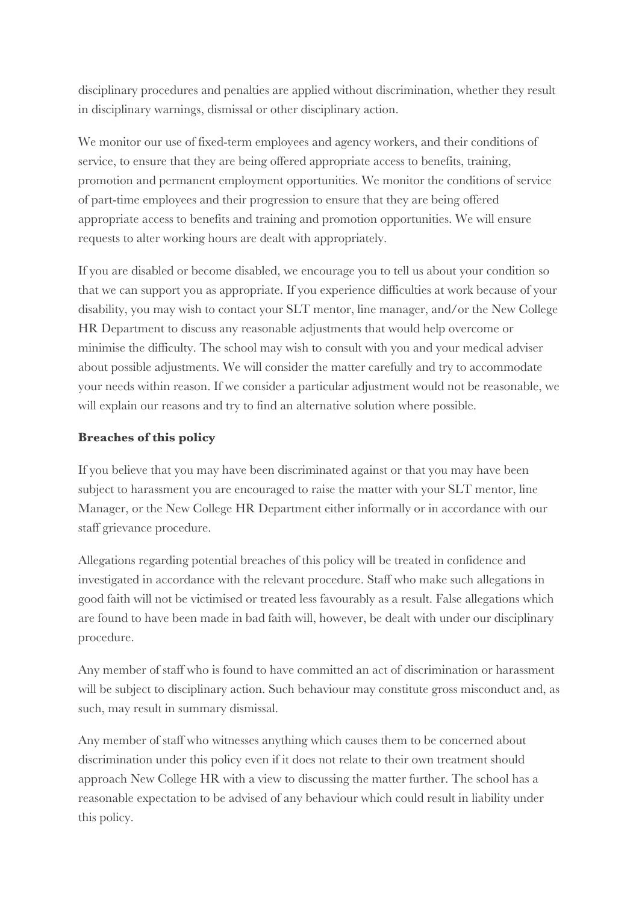disciplinary procedures and penalties are applied without discrimination, whether they result in disciplinary warnings, dismissal or other disciplinary action.

We monitor our use of fixed-term employees and agency workers, and their conditions of service, to ensure that they are being offered appropriate access to benefits, training, promotion and permanent employment opportunities. We monitor the conditions of service of part-time employees and their progression to ensure that they are being offered appropriate access to benefits and training and promotion opportunities. We will ensure requests to alter working hours are dealt with appropriately.

If you are disabled or become disabled, we encourage you to tell us about your condition so that we can support you as appropriate. If you experience difficulties at work because of your disability, you may wish to contact your SLT mentor, line manager, and/or the New College HR Department to discuss any reasonable adjustments that would help overcome or minimise the difficulty. The school may wish to consult with you and your medical adviser about possible adjustments. We will consider the matter carefully and try to accommodate your needs within reason. If we consider a particular adjustment would not be reasonable, we will explain our reasons and try to find an alternative solution where possible.

## **Breaches of this policy**

If you believe that you may have been discriminated against or that you may have been subject to harassment you are encouraged to raise the matter with your SLT mentor, line Manager, or the New College HR Department either informally or in accordance with our staff grievance procedure.

Allegations regarding potential breaches of this policy will be treated in confidence and investigated in accordance with the relevant procedure. Staff who make such allegations in good faith will not be victimised or treated less favourably as a result. False allegations which are found to have been made in bad faith will, however, be dealt with under our disciplinary procedure.

Any member of staff who is found to have committed an act of discrimination or harassment will be subject to disciplinary action. Such behaviour may constitute gross misconduct and, as such, may result in summary dismissal.

Any member of staff who witnesses anything which causes them to be concerned about discrimination under this policy even if it does not relate to their own treatment should approach New College HR with a view to discussing the matter further. The school has a reasonable expectation to be advised of any behaviour which could result in liability under this policy.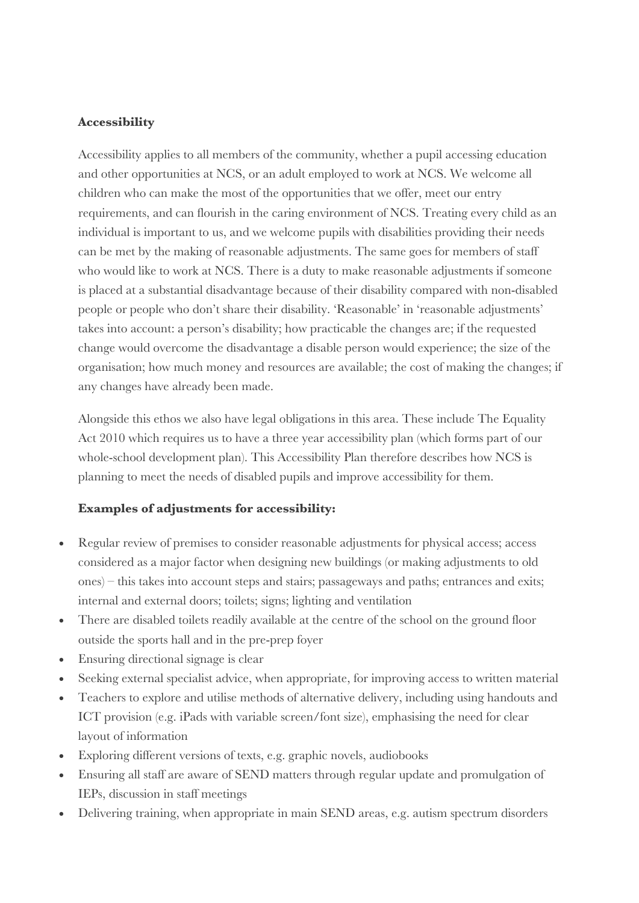#### **Accessibility**

Accessibility applies to all members of the community, whether a pupil accessing education and other opportunities at NCS, or an adult employed to work at NCS. We welcome all children who can make the most of the opportunities that we offer, meet our entry requirements, and can flourish in the caring environment of NCS. Treating every child as an individual is important to us, and we welcome pupils with disabilities providing their needs can be met by the making of reasonable adjustments. The same goes for members of staff who would like to work at NCS. There is a duty to make reasonable adjustments if someone is placed at a substantial disadvantage because of their disability compared with non-disabled people or people who don't share their disability. 'Reasonable' in 'reasonable adjustments' takes into account: a person's disability; how practicable the changes are; if the requested change would overcome the disadvantage a disable person would experience; the size of the organisation; how much money and resources are available; the cost of making the changes; if any changes have already been made.

Alongside this ethos we also have legal obligations in this area. These include The Equality Act 2010 which requires us to have a three year accessibility plan (which forms part of our whole-school development plan). This Accessibility Plan therefore describes how NCS is planning to meet the needs of disabled pupils and improve accessibility for them.

#### **Examples of adjustments for accessibility:**

- Regular review of premises to consider reasonable adjustments for physical access; access considered as a major factor when designing new buildings (or making adjustments to old ones) – this takes into account steps and stairs; passageways and paths; entrances and exits; internal and external doors; toilets; signs; lighting and ventilation
- There are disabled toilets readily available at the centre of the school on the ground floor outside the sports hall and in the pre-prep foyer
- Ensuring directional signage is clear
- Seeking external specialist advice, when appropriate, for improving access to written material
- Teachers to explore and utilise methods of alternative delivery, including using handouts and ICT provision (e.g. iPads with variable screen/font size), emphasising the need for clear layout of information
- Exploring different versions of texts, e.g. graphic novels, audiobooks
- Ensuring all staff are aware of SEND matters through regular update and promulgation of IEPs, discussion in staff meetings
- Delivering training, when appropriate in main SEND areas, e.g. autism spectrum disorders